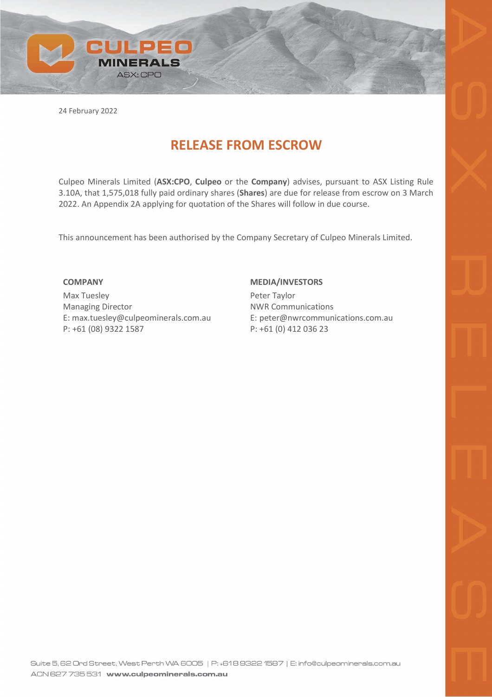

24 February 2022

## **RELEASE FROM ESCROW**

Culpeo Minerals Limited (**ASX:CPO**, **Culpeo** or the **Company**) advises, pursuant to ASX Listing Rule 3.10A, that 1,575,018 fully paid ordinary shares (**Shares**) are due for release from escrow on 3 March 2022. An Appendix 2A applying for quotation of the Shares will follow in due course.

This announcement has been authorised by the Company Secretary of Culpeo Minerals Limited.

## **COMPANY**

Max Tuesley Managing Director E: max.tuesley@culpeominerals.com.au P: +61 (08) 9322 1587

## **MEDIA/INVESTORS**

Peter Taylor NWR Communications E: peter@nwrcommunications.com.au P: +61 (0) 412 036 23